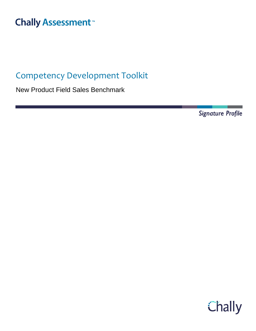# **Chally Assessment**<sup>™</sup>

## Competency Development Toolkit

New Product Field Sales Benchmark

Signature Profile

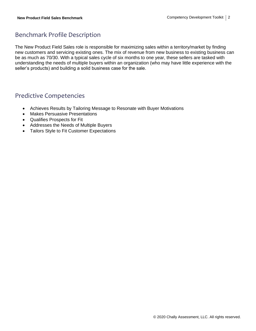### Benchmark Profile Description

The New Product Field Sales role is responsible for maximizing sales within a territory/market by finding new customers and servicing existing ones. The mix of revenue from new business to existing business can be as much as 70/30. With a typical sales cycle of six months to one year, these sellers are tasked with understanding the needs of multiple buyers within an organization (who may have little experience with the seller's products) and building a solid business case for the sale.

### Predictive Competencies

- Achieves Results by Tailoring Message to Resonate with Buyer Motivations
- Makes Persuasive Presentations
- Qualifies Prospects for Fit
- Addresses the Needs of Multiple Buyers
- Tailors Style to Fit Customer Expectations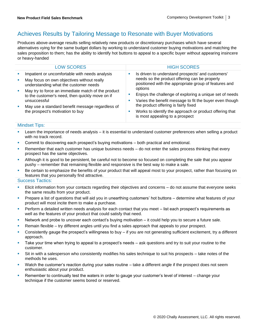### Achieves Results by Tailoring Message to Resonate with Buyer Motivations

Produces above-average results selling relatively new products or discretionary purchases which have several alternatives vying for the same budget dollars by working to understand customer buying motivations and matching the sales proposition to them; has the ability to identify hot buttons to appeal to a specific buyer without appearing insincere or heavy-handed

| <b>LOW SCORES</b>                                                                                                                                                                                             |                                                   | <b>HIGH SCORES</b>                                                                                     |
|---------------------------------------------------------------------------------------------------------------------------------------------------------------------------------------------------------------|---------------------------------------------------|--------------------------------------------------------------------------------------------------------|
| Impatient or uncomfortable with needs analysis                                                                                                                                                                | Is driven to understand prospects' and customers' |                                                                                                        |
| May focus on own objectives without really<br>understanding what the customer needs                                                                                                                           |                                                   | needs so the product offering can be properly<br>positioned with the appropriate group of features and |
| May try to force an immediate match of the product<br>to the customer's need, then quickly move on if<br>unsuccessful<br>May use a standard benefit message regardless of<br>the prospect's motivation to buy |                                                   | options                                                                                                |
|                                                                                                                                                                                                               |                                                   | Enjoys the challenge of exploring a unique set of needs                                                |
|                                                                                                                                                                                                               |                                                   | Varies the benefit message to fit the buyer even though                                                |
|                                                                                                                                                                                                               |                                                   | the product offering is fairly fixed                                                                   |
|                                                                                                                                                                                                               |                                                   | Works to identify the approach or product offering that<br>is most appealing to a prospect             |

#### Mindset Tips:

- Learn the importance of needs analysis it is essential to understand customer preferences when selling a product with no track record.
- Commit to discovering each prospect's buying motivations both practical and emotional.
- **EXECT** Remember that each customer has unique business needs do not enter the sales process thinking that every prospect has the same objectives.
- Although it is good to be persistent, be careful not to become so focused on completing the sale that you appear pushy – remember that remaining flexible and responsive is the best way to make a sale.
- Be certain to emphasize the benefits of your product that will appeal most to your prospect, rather than focusing on features that you personally find attractive.

- Elicit information from your contacts regarding their objectives and concerns do not assume that everyone seeks the same results from your product.
- Prepare a list of questions that will aid you in unearthing customers' hot buttons determine what features of your product will most incite them to make a purchase.
- Perform a detailed written needs analysis for each contact that you meet list each prospect's requirements as well as the features of your product that could satisfy that need.
- Network and probe to uncover each contact's buying motivation it could help you to secure a future sale.
- **EXECT** Remain flexible try different angles until you find a sales approach that appeals to your prospect.
- Consistently gauge the prospect's willingness to buy if you are not generating sufficient excitement, try a different approach.
- Take your time when trying to appeal to a prospect's needs ask questions and try to suit your routine to the customer.
- Sit in with a salesperson who consistently modifies his sales technique to suit his prospects take notes of the methods he uses.
- Watch the customer's reaction during your sales routine take a different angle if the prospect does not seem enthusiastic about your product.
- **EXECT** Remember to continually test the waters in order to gauge your customer's level of interest change your technique if the customer seems bored or reserved.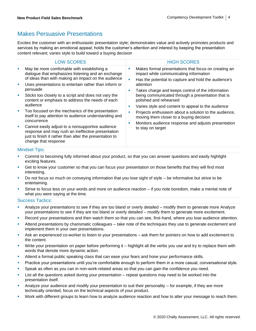### Makes Persuasive Presentations

Excites the customer with an enthusiastic presentation style; demonstrates value and actively promotes products and services by making an emotional appeal; holds the customer's attention and interest by keeping the presentation content relevant; varies style to build toward a buying decision

| <b>LOW SCORES</b>                                                                                                                                                                                                                                                                                                                                                                                                                                                       |                                                                                                                                                                                                                             | <b>HIGH SCORES</b>                                                                                                                                                                                                                                                                                                                                                                                                                                                                                                                                           |
|-------------------------------------------------------------------------------------------------------------------------------------------------------------------------------------------------------------------------------------------------------------------------------------------------------------------------------------------------------------------------------------------------------------------------------------------------------------------------|-----------------------------------------------------------------------------------------------------------------------------------------------------------------------------------------------------------------------------|--------------------------------------------------------------------------------------------------------------------------------------------------------------------------------------------------------------------------------------------------------------------------------------------------------------------------------------------------------------------------------------------------------------------------------------------------------------------------------------------------------------------------------------------------------------|
| May be more comfortable with establishing a<br>×<br>п<br>persuade<br>Sticks too closely to a script and does not vary the<br>×<br>content or emphasis to address the needs of each<br>audience<br>Too focused on the mechanics of the presentation<br>×<br>concurrence<br>Cannot easily adjust to a nonsupportive audience<br>×<br>response and may rush an ineffective presentation<br>just to finish it rather than alter the presentation to<br>change that response | dialogue that emphasizes listening and an exchange<br>of ideas than with making an impact on the audience<br>Uses presentations to entertain rather than inform or<br>itself to pay attention to audience understanding and | Makes formal presentations that focus on creating an<br>×<br>impact while communicating information<br>Has the potential to capture and hold the audience's<br>attention<br>Takes charge and keeps control of the information<br>being communicated through a presentation that is<br>polished and rehearsed<br>Varies style and content to appeal to the audience<br>п<br>Projects enthusiasm about a solution to the audience,<br>moving them closer to a buying decision<br>Monitors audience response and adjusts presentation<br>п<br>to stay on target |
|                                                                                                                                                                                                                                                                                                                                                                                                                                                                         |                                                                                                                                                                                                                             |                                                                                                                                                                                                                                                                                                                                                                                                                                                                                                                                                              |

### Mindset Tips:

- Commit to becoming fully informed about your product, so that you can answer questions and easily highlight exciting features.
- Get to know your customer so that you can focus your presentation on those benefits that they will find most interesting.
- Do not focus so much on conveying information that you lose sight of style  $-$  be informative but strive to be entertaining.
- Strive to focus less on your words and more on audience reaction if you note boredom, make a mental note of what you were saying at the time.

- Analyze your presentations to see if they are too bland or overly detailed modify them to generate more Analyze your presentations to see if they are too bland or overly detailed – modify them to generate more excitement.
- Record your presentations and then watch them so that you can see, first-hand, where you lose audience attention.
- Attend presentations by charismatic colleagues take note of the techniques they use to generate excitement and implement them in your own presentations.
- Ask an experienced co-worker to listen to your presentations ask them for pointers on how to add excitement to the content.
- Write your presentation on paper before performing it highlight all the verbs you use and try to replace them with words that denote more dynamic action.
- **■** Attend a formal public speaking class that can ease your fears and hone your performance skills.
- Practice your presentations until you're comfortable enough to perform them in a more casual, conversational style.
- Speak as often as you can in non-work-related areas so that you can gain the confidence you need.
- List all the questions asked during your presentation repeat questions may need to be worked into the presentation itself.
- Analyze your audience and modify your presentation to suit their personality for example, if they are more technically oriented, focus on the technical aspects of your product.
- Work with different groups to learn how to analyze audience reaction and how to alter your message to reach them.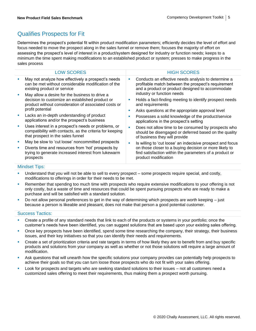### Qualifies Prospects for Fit

Determines the prospect's potential fit within product modification parameters; efficiently decides the level of effort and focus needed to move the prospect along in the sales funnel or remove them; focuses the majority of effort on assessing the prospect's level of interest in a product/system designed for industry or function needs; keeps to a minimum the time spent making modifications to an established product or system; presses to make progress in the sales process

|        | <b>LOW SCORES</b>                                                                                                                                                             | <b>HIGH SCORES</b>                                                                                                                                                                                      |
|--------|-------------------------------------------------------------------------------------------------------------------------------------------------------------------------------|---------------------------------------------------------------------------------------------------------------------------------------------------------------------------------------------------------|
|        | May not analyze how effectively a prospect's needs<br>can be met without considerable modification of the<br>existing product or service                                      | Conducts an effective needs analysis to determine a<br>profitable match between the prospect's requirement<br>and a product or product designed to accommodate<br>industry or function needs            |
|        | May allow a desire for the business to drive a<br>decision to customize an established product or<br>product without consideration of associated costs or<br>profit potential | Holds a fact-finding meeting to identify prospect needs<br>and requirements<br>Asks questions at the appropriate approval level                                                                         |
| ш      | Lacks an in-depth understanding of product<br>applications and/or the prospect's business                                                                                     | Possesses a solid knowledge of the product/service<br>applications in the prospect's setting                                                                                                            |
|        | Uses interest in a prospect's needs or problems, or<br>compatibility with contacts, as the criteria for keeping<br>that prospect in the sales funnel                          | Does not allow time to be consumed by prospects who<br>should be disengaged or deferred based on the quality<br>of business they will provide                                                           |
| ×<br>ш | May be slow to 'cut loose' noncommitted prospects<br>Diverts time and resources from 'hot' prospects by<br>trying to generate increased interest from lukewarm<br>prospects   | Is willing to 'cut loose' an indecisive prospect and focus<br>on those closer to a buying decision or more likely to<br>find satisfaction within the parameters of a product or<br>product modification |
|        |                                                                                                                                                                               |                                                                                                                                                                                                         |

#### Mindset Tips:

- Understand that you will not be able to sell to every prospect some prospects require special, and costly, modifications to offerings in order for their needs to be met.
- Remember that spending too much time with prospects who require extensive modifications to your offering is not only costly, but a waste of time and resources that could be spent pursuing prospects who are ready to make a purchase and will be satisfied with a standard solution.
- Do not allow personal preferences to get in the way of determining which prospects are worth keeping just because a person is likeable and pleasant, does not make that person a good potential customer.

- Create a profile of any standard needs that link to each of the products or systems in your portfolio; once the customer's needs have been identified, you can suggest solutions that are based upon your existing sales offering.
- Once key prospects have been identified, spend some time researching the company, their strategy, their business issues, and their key initiatives so that you can identify their needs and requirements.
- Create a set of prioritization criteria and rate targets in terms of how likely they are to benefit from and buy specific products and solutions from your company as well as whether or not those solutions will require a large amount of modification.
- Ask questions that will unearth how the specific solutions your company provides can potentially help prospects to achieve their goals so that you can turn loose those prospects who do not fit with your sales offering.
- Look for prospects and targets who are seeking standard solutions to their issues not all customers need a customized sales offering to meet their requirements, thus making them a prospect worth pursuing.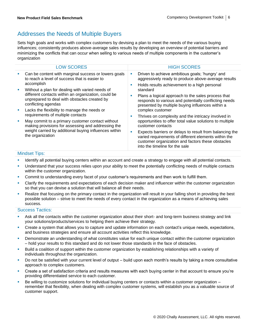### Addresses the Needs of Multiple Buyers

Sets high goals and works with complex customers by devising a plan to meet the needs of the various buying influences; consistently produces above-average sales results by developing an overview of potential barriers and minimizing the conflicts that can occur when selling to various needs of multiple components in the customer's organization

| <b>LOW SCORES</b>                                                                                                                                                                                                                                                                                                      | <b>HIGH SCORES</b>                                                                                                                                                                                                                                                                                                                                                        |
|------------------------------------------------------------------------------------------------------------------------------------------------------------------------------------------------------------------------------------------------------------------------------------------------------------------------|---------------------------------------------------------------------------------------------------------------------------------------------------------------------------------------------------------------------------------------------------------------------------------------------------------------------------------------------------------------------------|
| Can be content with marginal success or lowers goals<br>M.<br>to reach a level of success that is easier to<br>accomplish<br>Without a plan for dealing with varied needs of<br><b>D</b><br>different contacts within an organization, could be<br>unprepared to deal with obstacles created by<br>conflicting agendas | Driven to achieve ambitious goals; 'hungry' and<br>ш<br>aggressively ready to produce above-average results<br>Holds results achievement to a high personal<br>ш<br>standard<br>Plans a logical approach to the sales process that<br>M.<br>responds to various and potentially conflicting needs<br>presented by multiple buying influences within a<br>complex customer |
| Lacks the flexibility to manage the needs or<br>requirements of multiple contacts<br>May commit to a primary customer contact without<br>making provisions for assessing and addressing the<br>weight carried by additional buying influences within<br>the organization                                               | Thrives on complexity and the intricacy involved in<br>M.<br>opportunities to offer total value solutions to multiple<br>customer contacts<br>Expects barriers or delays to result from balancing the<br><b>CONTRACTOR</b><br>varied requirements of different elements within the<br>customer organization and factors these obstacles<br>into the timeline for the sale |

### Mindset Tips:

- **EXECT** Identify all potential buying centers within an account and create a strategy to engage with all potential contacts.
- **■** Understand that your success relies upon your ability to meet the potentially conflicting needs of multiple contacts within the customer organization.
- Commit to understanding every facet of your customer's requirements and then work to fulfill them.
- Clarify the requirements and expectations of each decision maker and influencer within the customer organization so that you can devise a solution that will balance all their needs.
- Realize that focusing on the primary contact in the organization will result in your falling short in providing the best possible solution – strive to meet the needs of every contact in the organization as a means of achieving sales success.

- Ask all the contacts within the customer organization about their short- and long-term business strategy and link your solutions/products/services to helping them achieve their strategy.
- **EXP** Create a system that allows you to capture and update information on each contact's unique needs, expectations, and business strategies and ensure all account activities reflect this knowledge.
- Demonstrate an understanding of what constitutes value for each unique contact within the customer organization – hold your results to this standard and do not lower those standards in the face of obstacles.
- Build a coalition of support within the customer organization by establishing relationships with a variety of individuals throughout the organization.
- Do not be satisfied with your current level of output build upon each month's results by taking a more consultative approach to complex customers.
- Create a set of satisfaction criteria and results measures with each buying center in that account to ensure you're providing differentiated service to each customer.
- Be willing to customize solutions for individual buying centers or contacts within a customer organization  $$ remember that flexibility, when dealing with complex customer systems, will establish you as a valuable source of customer support.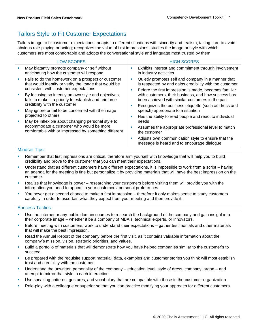### Tailors Style to Fit Customer Expectations

Tailors image to fit customer expectations; adapts to different situations with sincerity and realism, taking care to avoid obvious role-playing or acting; recognizes the value of first impressions; studies the image or style with which customers are most comfortable and adopts the conversational style and language most trusted by them

|    | <b>LOW SCORES</b>                                                                                                                                      |        | <b>HIGH SCORES</b>                                                                                                                                                                                                                                             |
|----|--------------------------------------------------------------------------------------------------------------------------------------------------------|--------|----------------------------------------------------------------------------------------------------------------------------------------------------------------------------------------------------------------------------------------------------------------|
| п  | May blatantly promote company or self without<br>anticipating how the customer will respond                                                            |        | Exhibits interest and commitment through involvement<br>in industry activities                                                                                                                                                                                 |
| ×  | Fails to do the homework on a prospect or customer<br>that would identify or verify the image that would be<br>consistent with customer expectations   | ш      | Quietly promotes self and company in a manner that<br>is respected by and gains credibility with the customer                                                                                                                                                  |
| I. | By focusing so intently on own style and objectives,<br>fails to make it a priority to establish and reinforce<br>credibility with the customer        | ×      | Before the first impression is made, becomes familiar<br>with customers, their business, and how success has<br>been achieved with similar customers in the past<br>Recognizes the business etiquette (such as dress and<br>speech) appropriate to a situation |
| I. | May ignore or fail to be concerned with the image<br>projected to others                                                                               | п<br>п |                                                                                                                                                                                                                                                                |
| U, | May be inflexible about changing personal style to<br>accommodate a customer who would be more<br>comfortable with or impressed by something different |        | Has the ability to read people and react to individual<br>needs<br>Assumes the appropriate professional level to match<br>the customer                                                                                                                         |
|    |                                                                                                                                                        | ×      | Adjusts own communication style to ensure that the<br>message is heard and to encourage dialogue                                                                                                                                                               |

### Mindset Tips:

- **EXECT** Remember that first impressions are critical, therefore arm yourself with knowledge that will help you to build credibility and prove to the customer that you can meet their expectations.
- Understand that as different customers have different expectations, it is impossible to work from a script having an agenda for the meeting is fine but personalize it by providing materials that will have the best impression on the customer.
- Realize that knowledge is power researching your customers before visiting them will provide you with the information you need to appeal to your customers' personal preferences.
- You never get a second chance to make a first impression therefore it only makes sense to study customers carefully in order to ascertain what they expect from your meeting and then provide it.

- **•** Use the internet or any public domain sources to research the background of the company and gain insight into their corporate image – whether it be a company of MBA's, technical experts, or innovators.
- **EXELG FOR THE MEET EXELG FOR THE EXELG FOR THE EXELG FOR THE FORM** FOR THE MET ISSNET THE MET ISSNET THE MET ISSNET THE MET ISSNET THE MET ISSNET THE MET ISSNET THE MET ISSNET THE MET ISSNET THE MET ISSNET THE MET ISSNET that will make the best impression.
- Read the Annual Report of the company before the first visit, as it contains valuable information about the company's mission, vision, strategic priorities, and values.
- Build a portfolio of materials that will demonstrate how you have helped companies similar to the customer's to succeed.
- Be prepared with the requisite support material, data, examples and customer stories you think will most establish trust and credibility with the customer.
- Understand the unwritten personality of the company education level, style of dress, company jargon and attempt to mirror that style in each interaction.
- Use speaking patterns, gestures, and vocabulary that are compatible with those in the customer organization.
- Role-play with a colleague or superior so that you can practice modifying your approach for different customers.